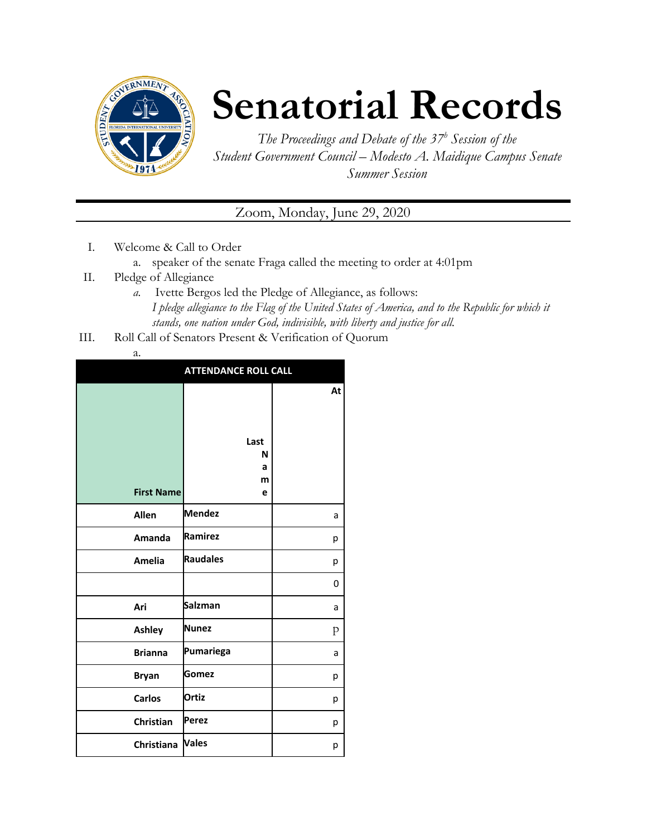

## **Senatorial Records**

*The Proceedings and Debate of the 37 <sup>h</sup> Session of the Student Government Council – Modesto A. Maidique Campus Senate Summer Session*

Zoom, Monday, June 29, 2020

- I. Welcome & Call to Order
	- a. speaker of the senate Fraga called the meeting to order at 4:01pm
- II. Pledge of Allegiance
	- *a.* Ivette Bergos led the Pledge of Allegiance, as follows: *I pledge allegiance to the Flag of the United States of America, and to the Republic for which it stands, one nation under God, indivisible, with liberty and justice for all.*
- III. Roll Call of Senators Present & Verification of Quorum
	- a.

|                   | <b>ATTENDANCE ROLL CALL</b> |    |
|-------------------|-----------------------------|----|
|                   |                             | At |
| <b>First Name</b> | Last<br>N<br>a<br>m<br>e    |    |
| Allen             | <b>Mendez</b>               | a  |
| Amanda            | Ramirez                     | р  |
| Amelia            | <b>Raudales</b>             | р  |
|                   |                             | 0  |
| Ari               | <b>Salzman</b>              | a  |
| <b>Ashley</b>     | <b>Nunez</b>                | p  |
| <b>Brianna</b>    | Pumariega                   | a  |
| <b>Bryan</b>      | Gomez                       | р  |
| <b>Carlos</b>     | <b>Ortiz</b>                | р  |
| Christian         | <b>Perez</b>                | р  |
| Christiana        | <b>Vales</b>                | р  |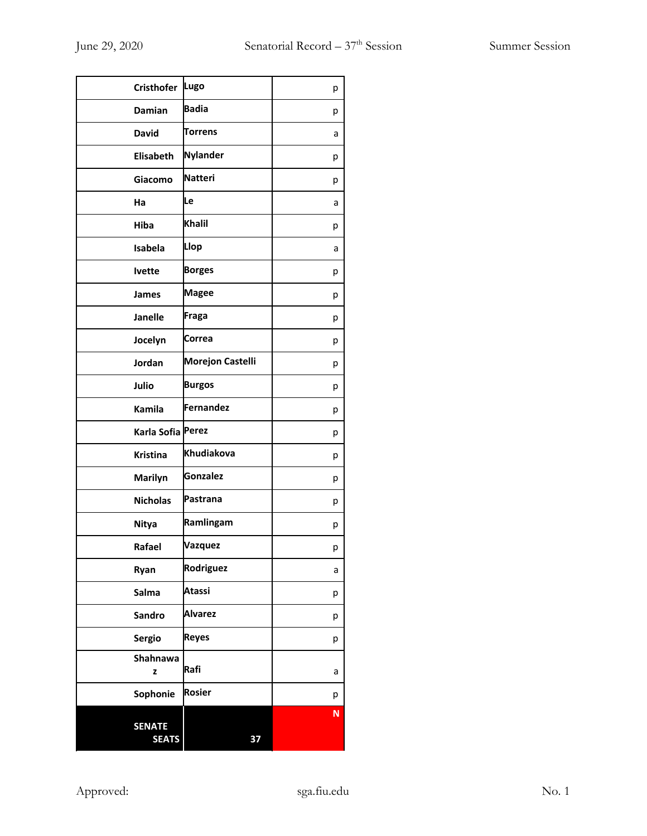| <b>Cristhofer</b>             | Lugo                    | р |
|-------------------------------|-------------------------|---|
| Damian                        | <b>Badia</b>            | р |
| <b>David</b>                  | <b>Torrens</b>          | a |
| <b>Elisabeth</b>              | <b>Nylander</b>         | р |
| Giacomo                       | <b>Natteri</b>          | р |
| Ha                            | Le                      | a |
| <b>Hiba</b>                   | <b>Khalil</b>           | р |
| Isabela                       | Llop                    | а |
| <b>Ivette</b>                 | <b>Borges</b>           | р |
| James                         | <b>Magee</b>            | р |
| <b>Janelle</b>                | Fraga                   | р |
| Jocelyn                       | Correa                  | р |
| Jordan                        | <b>Morejon Castelli</b> | р |
| Julio                         | <b>Burgos</b>           | р |
| Kamila                        | Fernandez               | р |
| Karla Sofia Perez             |                         | р |
| <b>Kristina</b>               | Khudiakova              | р |
| <b>Marilyn</b>                | <b>Gonzalez</b>         | р |
| <b>Nicholas</b>               | Pastrana                | р |
| <b>Nitya</b>                  | Ramlingam               | р |
| Rafael                        | Vazquez                 | р |
| Ryan                          | Rodriguez               | a |
| Salma                         | <b>Atassi</b>           | р |
| Sandro                        | <b>Alvarez</b>          | р |
| Sergio                        | <b>Reyes</b>            | р |
| Shahnawa<br>z                 | Rafi                    | a |
| Sophonie                      | <b>Rosier</b>           | р |
| <b>SENATE</b><br><b>SEATS</b> | 37                      | N |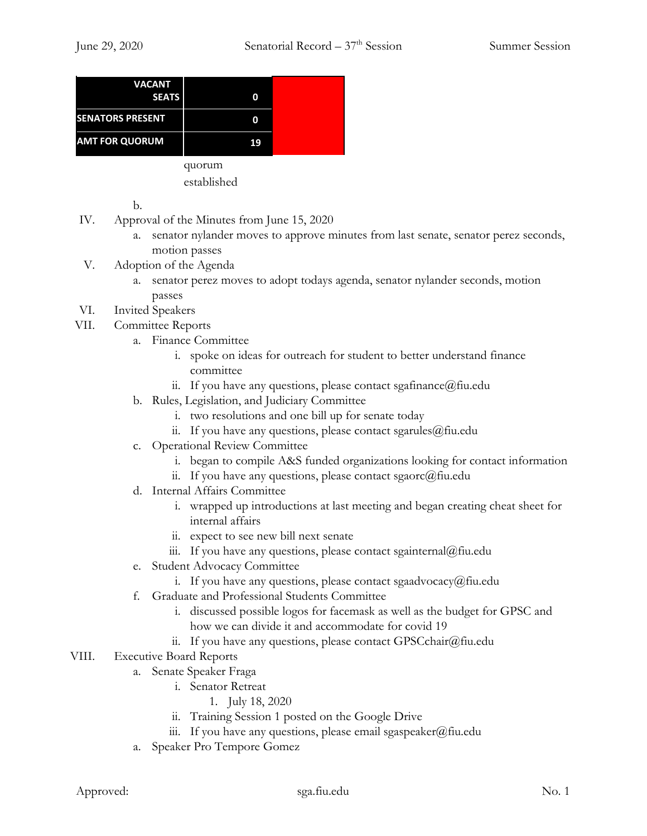| <b>VACANT</b><br><b>SEATS</b> | O      |  |
|-------------------------------|--------|--|
| <b>SENATORS PRESENT</b>       | O      |  |
| <b>AMT FOR QUORUM</b>         | 19     |  |
|                               | quorum |  |

established

b.

- IV. Approval of the Minutes from June 15, 2020
	- a. senator nylander moves to approve minutes from last senate, senator perez seconds, motion passes
- V. Adoption of the Agenda
	- a. senator perez moves to adopt todays agenda, senator nylander seconds, motion passes
- VI. Invited Speakers
- VII. Committee Reports
	- a. Finance Committee
		- i. spoke on ideas for outreach for student to better understand finance committee
		- ii. If you have any questions, please contact sgafinance  $\omega$  fiu.edu
	- b. Rules, Legislation, and Judiciary Committee
		- i. two resolutions and one bill up for senate today
		- ii. If you have any questions, please contact sgarules $@$ fiu.edu
	- c. Operational Review Committee
		- i. began to compile A&S funded organizations looking for contact information
		- ii. If you have any questions, please contact sgaorc $@$ fiu.edu
	- d. Internal Affairs Committee
		- i. wrapped up introductions at last meeting and began creating cheat sheet for internal affairs
		- ii. expect to see new bill next senate
		- iii. If you have any questions, please contact sgainternal@fiu.edu
	- e. Student Advocacy Committee
		- i. If you have any questions, please contact sgaadvocacy $@$ fiu.edu
	- f. Graduate and Professional Students Committee
		- i. discussed possible logos for facemask as well as the budget for GPSC and how we can divide it and accommodate for covid 19
		- ii. If you have any questions, please contact GPSCchair@fiu.edu
- VIII. Executive Board Reports
	- a. Senate Speaker Fraga
		- i. Senator Retreat
			- 1. July 18, 2020
		- ii. Training Session 1 posted on the Google Drive
		- iii. If you have any questions, please email sgaspeaker@fiu.edu
	- a. Speaker Pro Tempore Gomez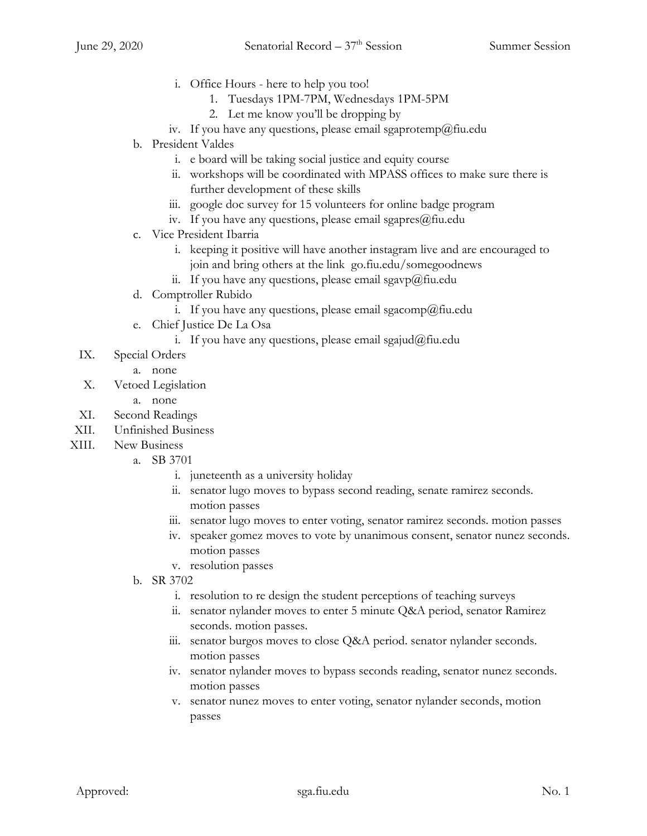- i. Office Hours here to help you too!
	- 1. Tuesdays 1PM-7PM, Wednesdays 1PM-5PM
	- 2. Let me know you'll be dropping by
- iv. If you have any questions, please email sgaprotemp@fiu.edu
- b. President Valdes
	- i. e board will be taking social justice and equity course
	- ii. workshops will be coordinated with MPASS offices to make sure there is further development of these skills
	- iii. google doc survey for 15 volunteers for online badge program
	- iv. If you have any questions, please email sgapres $@$ fiu.edu
- c. Vice President Ibarria
	- i. keeping it positive will have another instagram live and are encouraged to join and bring others at the link go.fiu.edu/somegoodnews
	- ii. If you have any questions, please email sgavp@fiu.edu
- d. Comptroller Rubido
	- i. If you have any questions, please email sgacomp@fiu.edu
- e. Chief Justice De La Osa
	- i. If you have any questions, please email sgajud@fiu.edu
- IX. Special Orders
	- a. none
- X. Vetoed Legislation
	- a. none
- XI. Second Readings
- XII. Unfinished Business
- XIII. New Business
	- a. SB 3701
		- i. juneteenth as a university holiday
		- ii. senator lugo moves to bypass second reading, senate ramirez seconds. motion passes
		- iii. senator lugo moves to enter voting, senator ramirez seconds. motion passes
		- iv. speaker gomez moves to vote by unanimous consent, senator nunez seconds. motion passes
		- v. resolution passes
	- b. SR 3702
		- i. resolution to re design the student perceptions of teaching surveys
		- ii. senator nylander moves to enter 5 minute Q&A period, senator Ramirez seconds. motion passes.
		- iii. senator burgos moves to close Q&A period. senator nylander seconds. motion passes
		- iv. senator nylander moves to bypass seconds reading, senator nunez seconds. motion passes
		- v. senator nunez moves to enter voting, senator nylander seconds, motion passes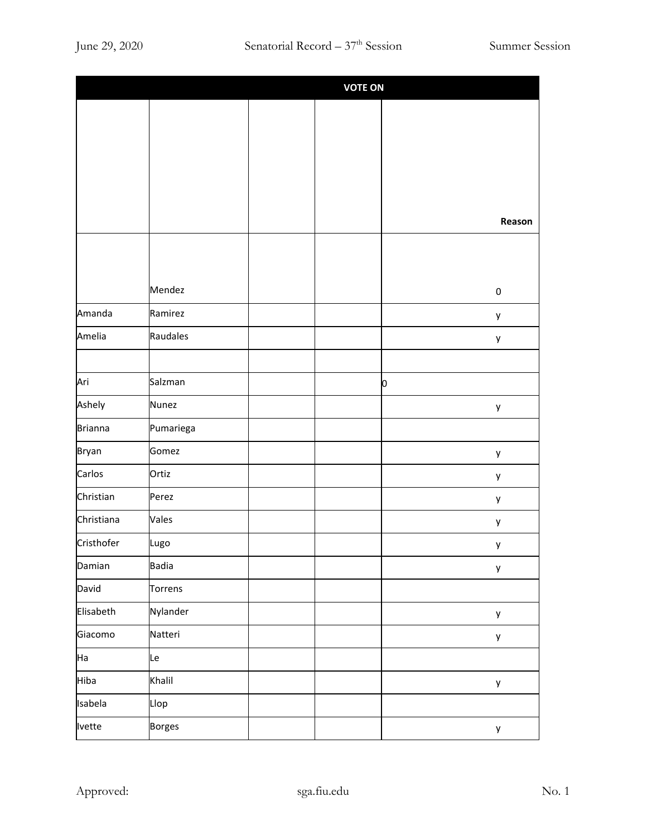|                | <b>VOTE ON</b> |  |  |   |                  |
|----------------|----------------|--|--|---|------------------|
|                |                |  |  |   |                  |
|                |                |  |  |   |                  |
|                |                |  |  |   |                  |
|                |                |  |  |   |                  |
|                |                |  |  |   |                  |
|                |                |  |  |   | Reason           |
|                |                |  |  |   |                  |
|                |                |  |  |   |                  |
|                | Mendez         |  |  |   | $\boldsymbol{0}$ |
| Amanda         | Ramirez        |  |  |   | у                |
| Amelia         | Raudales       |  |  |   | у                |
|                |                |  |  |   |                  |
| Ari            | Salzman        |  |  | 0 |                  |
| Ashely         | <b>Nunez</b>   |  |  |   | y                |
| <b>Brianna</b> | Pumariega      |  |  |   |                  |
| <b>Bryan</b>   | Gomez          |  |  |   | y                |
| Carlos         | Ortiz          |  |  |   | у                |
| Christian      | Perez          |  |  |   | у                |
| Christiana     | Vales          |  |  |   | у                |
| Cristhofer     | Lugo           |  |  |   | y                |
| Damian         | <b>Badia</b>   |  |  |   | у                |
| David          | Torrens        |  |  |   |                  |
| Elisabeth      | Nylander       |  |  |   | y                |
| Giacomo        | Natteri        |  |  |   | у                |
| Ha             | Le             |  |  |   |                  |
| Hiba           | Khalil         |  |  |   | y                |
| Isabela        | Llop           |  |  |   |                  |
| Ivette         | <b>Borges</b>  |  |  |   | y                |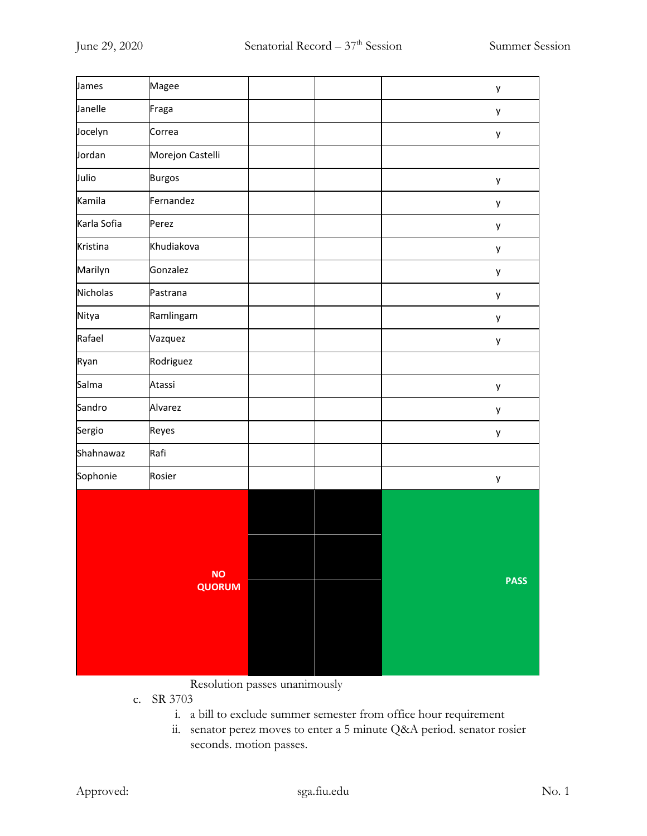| James       | Magee                      |  | y           |
|-------------|----------------------------|--|-------------|
| Janelle     | Fraga                      |  | у           |
| Jocelyn     | Correa                     |  | y           |
| Jordan      | Morejon Castelli           |  |             |
| Julio       | <b>Burgos</b>              |  | y           |
| Kamila      | Fernandez                  |  | y           |
| Karla Sofia | Perez                      |  | у           |
| Kristina    | Khudiakova                 |  | у           |
| Marilyn     | Gonzalez                   |  | у           |
| Nicholas    | Pastrana                   |  | y           |
| Nitya       | Ramlingam                  |  | y           |
| Rafael      | Vazquez                    |  | y           |
| Ryan        | Rodriguez                  |  |             |
| Salma       | Atassi                     |  | y           |
| Sandro      | Alvarez                    |  | у           |
| Sergio      | Reyes                      |  | y           |
| Shahnawaz   | Rafi                       |  |             |
| Sophonie    | Rosier                     |  | y           |
|             | <b>NO</b><br><b>QUORUM</b> |  | <b>PASS</b> |

Resolution passes unanimously

- c. SR 3703
	- i. a bill to exclude summer semester from office hour requirement
	- ii. senator perez moves to enter a 5 minute Q&A period. senator rosier seconds. motion passes.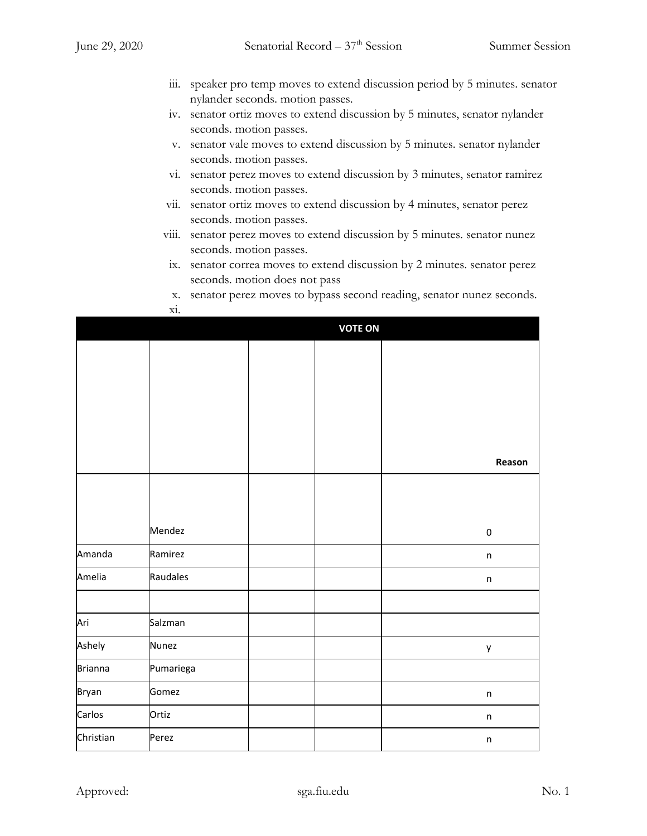- iii. speaker pro temp moves to extend discussion period by 5 minutes. senator nylander seconds. motion passes.
- iv. senator ortiz moves to extend discussion by 5 minutes, senator nylander seconds. motion passes.
- v. senator vale moves to extend discussion by 5 minutes. senator nylander seconds. motion passes.
- vi. senator perez moves to extend discussion by 3 minutes, senator ramirez seconds. motion passes.
- vii. senator ortiz moves to extend discussion by 4 minutes, senator perez seconds. motion passes.
- viii. senator perez moves to extend discussion by 5 minutes. senator nunez seconds. motion passes.
- ix. senator correa moves to extend discussion by 2 minutes. senator perez seconds. motion does not pass
- x. senator perez moves to bypass second reading, senator nunez seconds.

|                |              | <b>VOTE ON</b> |                  |
|----------------|--------------|----------------|------------------|
|                |              |                |                  |
|                |              |                |                  |
|                |              |                |                  |
|                |              |                |                  |
|                |              |                |                  |
|                |              |                | Reason           |
|                |              |                |                  |
|                |              |                |                  |
|                | Mendez       |                | $\boldsymbol{0}$ |
| Amanda         | Ramirez      |                | $\sf n$          |
| Amelia         | Raudales     |                | $\mathsf{n}$     |
|                |              |                |                  |
| Ari            | Salzman      |                |                  |
| Ashely         | <b>Nunez</b> |                | у                |
| <b>Brianna</b> | Pumariega    |                |                  |
| Bryan          | Gomez        |                | $\sf n$          |
| Carlos         | Ortiz        |                | $\mathsf{n}$     |
| Christian      | Perez        |                | $\mathsf{n}$     |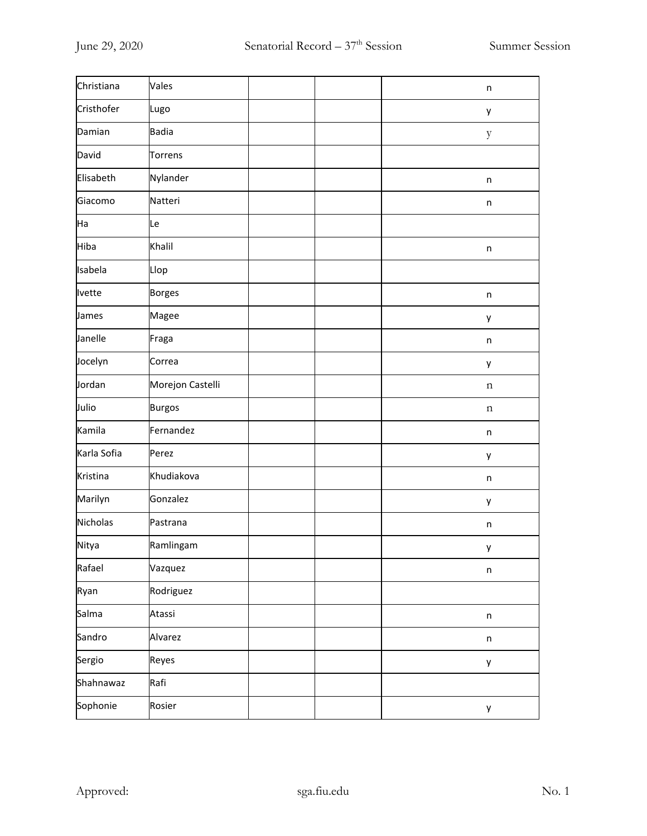| Christiana    | Vales            |  | n           |
|---------------|------------------|--|-------------|
| Cristhofer    | Lugo             |  | y           |
| Damian        | <b>Badia</b>     |  | y           |
| David         | <b>Torrens</b>   |  |             |
| Elisabeth     | Nylander         |  | n           |
| Giacomo       | Natteri          |  | n           |
| Ha            | Le               |  |             |
| Hiba          | Khalil           |  | n           |
| Isabela       | Llop             |  |             |
| <b>Ivette</b> | <b>Borges</b>    |  | n           |
| James         | Magee            |  | y           |
| Janelle       | Fraga            |  | n           |
| Jocelyn       | Correa           |  | y           |
| Jordan        | Morejon Castelli |  | n           |
| Julio         | <b>Burgos</b>    |  | n           |
| Kamila        | Fernandez        |  | n           |
| Karla Sofia   | Perez            |  | y           |
| Kristina      | Khudiakova       |  | n           |
| Marilyn       | Gonzalez         |  | y           |
| Nicholas      | Pastrana         |  | n           |
| Nitya         | Ramlingam        |  | y           |
| Rafael        | Vazquez          |  | $\sf n$     |
| Ryan          | Rodriguez        |  |             |
| Salma         | Atassi           |  | $\mathsf n$ |
| Sandro        | Alvarez          |  | $\sf n$     |
| Sergio        | Reyes            |  | y           |
| Shahnawaz     | Rafi             |  |             |
| Sophonie      | Rosier           |  | y           |